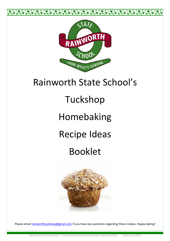

## Rainworth State School's

# Tuckshop

# Homebaking

# Recipe Ideas

## Booklet



Please email rainworthtuckshop@gmail.com if you have any questions regarding these recipes. Happy baking!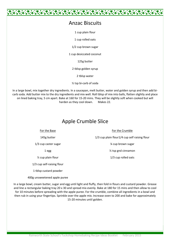#### Anzac Biscuits

1 cup plain flour

1 cup rolled oats

1/2 cup brown sugar

1 cup desiccated coconut

125g butter

2 tblsp golden syrup

2 tblsp water

½ tsp bi-carb of soda

In a large bowl, mix together dry ingredients. In a saucepan, melt butter, water and golden syrup and then add bicarb soda. Add butter mix to the dry ingredients and mix well. Roll tblsp of mix into balls, flatten slightly and place on lined baking tray, 5 cm apart. Bake at 160 for 15-20 mins. They will be slightly soft when cooked but will harden as they cool down. Makes 22.

#### Apple Crumble Slice

For the Base

145g butter

1/3 cup caster sugar

1 egg

½ cup plain flour

1/3 cup self-raising flour

1 tblsp custard powder

400g unsweetened apple puree

In a large bowl, cream butter, sugar and egg until light and fluffy, then fold in flours and custard powder. Grease and line a rectangular baking tray 20 x 30 and spread mix evenly. Bake at 180 for 15 mins and then allow to cool for 10 minutes before spreading with the apple puree. For the crumble, combine all ingredients in a bowl and then rub in using your fingertips. Sprinkle over the apple mix. Increase oven to 200 and bake for approximately 15-20 minutes until golden.

For the Crumble

1/3 cup plain flour1/4 cup self raising flour

¼ cup brown sugar

½ tsp gnd cinnamon

1/3 cup rolled oats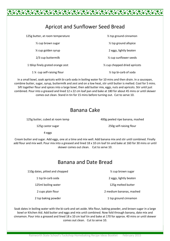| <b>Apricot and Sunflower Seed Bread</b> |                                            |
|-----------------------------------------|--------------------------------------------|
| 125g butter, at room temperature        | 1/ <sub>2</sub> tsp ground cinnamon        |
| $\frac{1}{2}$ cup brown sugar           | $\frac{1}{2}$ tsp ground allspice          |
| 1/4 cup golden syrup                    | 2 eggs, lightly beaten                     |
| 2/3 cup buttermilk                      | 1/ <sub>2</sub> cup sunflower seeds        |
| 1 tblsp finely grated orange zest       | 1/ <sub>2</sub> cup chopped dried apricots |
| 1 % cup self-raising flour              | $\frac{1}{2}$ tsp bi-carb of soda          |

In a small bowl, soak apricots with bi-carb soda in boiling water for 10 mins and then drain. In a saucepan, combine butter, sugar, syrup, buttermilk and zest and on a low heat, stir until butter is melted. Cool for 5 mins. Sift together flour and spices into a large bowl, then add butter mix, eggs, nuts and apricots. Stir until just combined. Pour into a greased and lined 12 x 22 cm loaf pan and bake at 180 for about 45 mins or until skewer comes out clean. Stand in tin for 15 mins before turning out. Cut to serve 10.

#### Banana Cake

125g butter, cubed at room temp

400g peeled ripe banana, mashed

125g castor sugar

250g self-raising flour

4 eggs

Cream butter and sugar. Add eggs, one at a time and mix well. Add banana mix and stir until combined. Finally add flour and mix well. Pour mix into a greased and lined 18 x 10 cm loaf tin and bake at 160 for 30 mins or until skewer comes out clean. Cut to serve 10.

## Banana and Date Bread

110g dates, pitted and chopped

1 tsp bi-carb soda

125ml boiling water

2 cups plain flour

2 tsp baking powder

2 eggs, lightly beaten

½ cup brown sugar

125g melted butter

2 medium bananas, mashed

1 tsp ground cinnamon

Soak dates in boiling water with the bi-carb and set aside. Mix flour, baking powder, and brown sugar in a large bowl or Kitchen Aid. Add butter and eggs and mix until combined. Now fold through banana, date mix and cinnamon. Pour into a greased and lined 18 x 10 cm loaf tin and bake at 170 for approx. 40 mins or until skewer comes out clean. Cut to serve 10.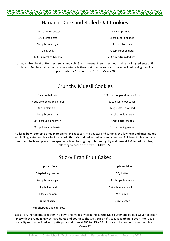### Banana, Date and Rolled Oat Cookies

| 125g softened butter      | 1 $\frac{1}{2}$ cup plain flour     |
|---------------------------|-------------------------------------|
| 1 tsp lemon zest          | 1/ <sub>2</sub> tsp bi carb of soda |
| <b>34 cup brown sugar</b> | 1 cup rolled oats                   |
| 1 egg yolk                | 1/ <sub>2</sub> cup chopped dates   |
| 1/3 cup mashed banana     | 2/3 cup extra rolled oats           |

Using a mixer, beat butter, zest, sugar and yolk. Stir in banana, then sifted flour and rest of ingredients until combined. Roll level tablespoons of mix into balls then coat in extra oats and place on lined baking tray 5 cm apart. Bake for 15 minutes at 180. Makes 28.

### Crunchy Muesli Cookies

| 1 cup rolled oats                       | 1/3 cup chopped dried apricots    |
|-----------------------------------------|-----------------------------------|
| $\frac{1}{2}$ cup wholemeal plain flour | $\frac{1}{2}$ cup sunflower seeds |
| $\frac{1}{2}$ cup plain flour           | 125g butter, chopped              |
| $\frac{1}{2}$ cup brown sugar           | 2 tblsp golden syrup              |
| 2 tsp ground cinnamon                   | $\frac{1}{2}$ tsp bicarb of soda  |
| % cup dried cranberries                 | 1 tblsp boiling water             |

In a large bowl, combine dried ingredients. In saucepan, melt butter and syrup over a low heat and once melted add boiling water and bi carb of soda. Add this mix to dried ingredients and combine. Roll level table spoons of mix into balls and place 5 cm apart on a lined baking tray. Flatten slightly and bake at 150 for 20 minutes, allowing to cool on the tray. Makes 22.

#### Sticky Bran Fruit Cakes

| 1 cup plain flour             | 1 cup bran flakes     |
|-------------------------------|-----------------------|
| 2 tsp baking powder           | 50g butter            |
| $\frac{1}{2}$ cup brown sugar | 3 tblsp golden syrup  |
| $\frac{1}{2}$ tsp baking soda | 1 ripe banana, mashed |
| 1 tsp cinnamon                | % cup milk            |
| $\frac{1}{2}$ tsp allspice    | 1 egg, beaten         |

¼ cup chopped dried apricots

Place all dry ingredients together in a bowl and make a well in the centre. Melt butter and golden syrup together, mix with the remaining wet ingredients and pour into the well. Stir briefly to just combine. Spoon into ½ cup capacity muffin tin lined with patty pans and bake at 190 for 15 – 20 mins or until a skewer comes out clean. Makes 12.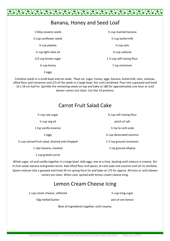

#### Banana, Honey and Seed Loaf

1 tblsp sesame seeds ¼ cup sunflower seeds ¼ cup pepitas ½ cup light olive oil 1/3 cup brown sugar ¼ cup honey 2 eggs

½ cup mashed banana ½ cup buttermilk ¼ cup oats ¼ cup sultanas 1 ¼ cup self-raising flour 1 tsp cinnamon

Combine seeds in a small bowl and set aside. Place oil, sugar, honey, eggs, banana, buttermilk, oats, sultanas, sifted flour and cinnamon and 2/3 of the seeds in a large bowl. Stir until combined. Pour into a greased and lined 10 x 18 cm loaf tin. Sprinkle the remaining seeds on top and bake at 180 for approximately one hour or until skewer comes out clean. Cut into 10 portions.

## Carrot Fruit Salad Cake

½ cup raw sugar ½ cup veg oil 1 tsp vanilla essence 2 eggs ½ cup canned fruit salad, drained and chopped 1 ripe banana, mashed ¾ cup self-raising flour pinch of salt ½ tsp bi-carb soda ¼ cup desiccated coconut 1 ½ tsp ground cinnamon 1 tsp ground allspice

1 cup grated carrot

Whisk sugar, oil and vanilla together in a large bowl. Add eggs, one at a time, beating until mixture is creamy. Stir in fruit salad, banana and grated carrot. Add sifted flour and spices, bi-carb soda and coconut and stir to combine. Spoon mixture into a greased and lined 20 cm spring-form tin and bake at 175 for approx. 40 mins or until skewer comes out clean. When cool, spread with lemon cream cheese icing.

### Lemon Cream Cheese Icing

Beat all ingredients together until creamy.

1 cup cream cheese, softened

50g melted butter

½ cup icing sugar

zest of one lemon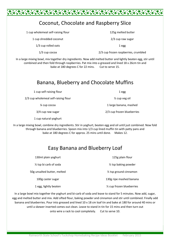## Coconut, Chocolate and Raspberry Slice

1 cup wholemeal self-raising flour

1 cup shredded coconut

1/3 cup rolled oats

1/3 cup cocoa

125g melted butter 2/3 cup raw sugar

1 egg

2/3 cup frozen raspberries, crumbled

In a large mixing bowl, mix together dry ingredients. Now add melted butter and lightly beaten egg, stir until combined and then fold through raspberries. Pat mix into a greased and lined 18 x 26cm tin and bake at 180 degrees C for 22 mins. Cut to serve 15.

## Banana, Blueberry and Chocolate Muffins

1 cup self-raising flour

2/3 cup wholemeal self-raising flour

¼ cup cocoa

3/4 cup raw sugar

1 cup natural yoghurt

In a large mixing bowl, combine dry ingredients. Stir in yoghurt, beaten egg and oil until just combined. Now fold through banana and blueberries. Spoon mix into 1/3 cup lined muffin tin with patty pans and bake at 180 degrees C for approx. 25 mins until done. Makes 12.

### Easy Banana and Blueberry Loaf

| 130ml plain yoghurt               | 125g plain flour                  |
|-----------------------------------|-----------------------------------|
| $\frac{1}{2}$ tsp bi carb of soda | $\frac{1}{2}$ tsp baking powder   |
| 50g unsalted butter, melted       | $\frac{1}{2}$ tsp ground cinnamon |
| 100g caster sugar                 | 130g ripe mashed banana           |
| 1 egg, lightly beaten             | 1/2 cup frozen blueberries        |

In a large bowl mix together the yoghurt and bi-carb of soda and leave to stand for 5 minutes. Now add, sugar, egg and melted butter and mix. Add sifted flour, baking powder and cinnamon and stir until combined. Finally add banana and blueberries. Pour into greased and lined 10 x 18 cm loaf tin and bake at 180 for around 40 mins or until a skewer inserted comes out clean. Leave to stand in tin for 15 mins and then turn out onto wire a rack to cool completely. Cut to serve 10.

1 egg

½ cup veg oil

1 large banana, mashed

2/3 cup frozen blueberries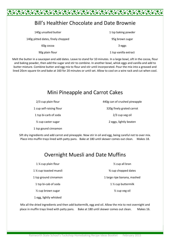### Bill's Healthier Chocolate and Date Brownie

\*\*\*\*\*\*\*\*

| 140g unsalted butter              | 1 tsp baking powder   |
|-----------------------------------|-----------------------|
| 140g pitted dates, finely chopped | 95g brown sugar       |
| 60g cocoa                         | 3 eggs                |
| 90g plain flour                   | 1 tsp vanilla extract |

Melt the butter in a saucepan and add dates. Leave to stand for 10 minutes. In a large bowl, sift in the cocoa, flour and baking powder, then add the sugar and stir to combine. In another bowl, whisk eggs and vanilla and add to butter mixture. Combine butter and egg mix to flour and stir until incorporated. Pour the mix into a greased and lined 20cm square tin and bake at 160 for 20 minutes or until set. Allow to cool on a wire rack and cut when cool.

#### Mini Pineapple and Carrot Cakes

| 2/3 cup plain flour            |  |
|--------------------------------|--|
| 1 cup self-raising flour       |  |
| 1 tsp bi-carb of soda          |  |
| $\frac{1}{2}$ cup caster sugar |  |
| 1 tsp gound cinnamon           |  |

440g can of crushed pineapple 320g finely grated carrot 2/3 cup veg oil 2 eggs, lightly beaten

Sift dry ingredients and add carrot and pineapple. Now stir in oil and egg, being careful not to over mix. Place into muffin trays lined with patty pans. Bake at 180 until skewer comes out clean. Makes 18.

### Overnight Muesli and Date Muffins

| 1 % cup plain flour           | $\frac{1}{2}$ cup all bran   |
|-------------------------------|------------------------------|
| 1 % cup toasted muesli        | <b>3/4 cup chopped dates</b> |
| 1 tsp ground cinnamon         | 1 large ripe banana, mashed  |
| 1 tsp bi-cab of soda          | 1 1/2 cup buttermilk         |
| $\frac{1}{2}$ cup brown sugar | $\frac{1}{2}$ cup veg oil    |
| 1 egg, lightly whisked        |                              |

Mix all the dried ingredients and then add buttermilk, egg and oil. Allow the mix to rest overnight and place in muffin trays lined with patty pans. Bake at 180 until skewer comes out clean. Makes 16.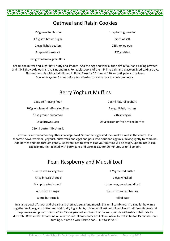

| 150g unsalted butter       | 1 tsp baking powder |
|----------------------------|---------------------|
| 175g soft brown sugar      | pinch of salt       |
| 1 egg, lightly beaten      | 235g rolled oats    |
| 2 tsp vanilla extract      | 125g raisins        |
| 125g wholemeal plain flour |                     |

Cream the butter and sugar until fluffy and smooth. Add the egg and vanilla, then sift in flour and baking powder and mix lightly. Add oats and raisins and mix. Roll tablespoons of the mix into balls and place on lined baking trays. Flatten the balls with a fork dipped in flour. Bake for 20 mins at 180, or until pale and golden.

Cool on trays for 5 mins before transferring to a wire rack to cool completely.

#### Berry Yoghurt Muffins

| 135g self-raising flour           | 125ml natural yoghurt              |
|-----------------------------------|------------------------------------|
| 200g wholemeal self-raising flour | 2 eggs, lightly beaten             |
| 1 tsp ground cinnamon             | 2 tblsp veg oil                    |
| 155g brown sugar                  | 250g frozen or fresh mixed berries |

250ml buttermilk or milk

Sift flours and cinnamon together in a large bowl. Stir in the sugar and then make a well in the centre. In a separate bowl, whisk oil, yoghurt, buttermilk and eggs and pour into flour and egg mix, mixing lightly to combine. Add berries and fold through gently. Be careful not to over mix as your muffins will be tough. Spoon into <sup>1/2</sup> cup capacity muffin tin lined with patty pans and bake at 180 for 20 minutes or until golden.

### Pear, Raspberry and Muesli Loaf

| 1 1/ <sub>2</sub> cup self-raising flour | 125g melted butter           |
|------------------------------------------|------------------------------|
| $\frac{1}{2}$ tsp bi-carb of soda        | 1 egg, whisked               |
| % cup toasted muesli                     | 1 ripe pear, cored and diced |
| $\frac{1}{2}$ cup brown sugar            | 1/2 cup frozen raspberries   |
| 3⁄4 cup buttermilk                       | rolled oats                  |

In a large bowl sift flour and bi-carb and then add sugar and muesli. Stir until combined. In a smaller bowl mix together milk, egg and butter and add to dry ingredients, mixing until just combined. Now fold through pear and raspberries and pour mix into a 12 x 22 cm greased and lined loaf tin and sprinkle with extra rolled oats to decorate. Bake at 180 for around 45 mins or until skewer comes out clean. Allow to rest in tin for 15 mins before turning out onto a wire rack to cool. Cut to serve 10.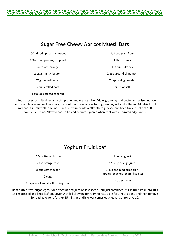### Sugar Free Chewy Apricot Muesli Bars

100g dried apricots, chopped 100g dried prunes, chopped Juice of 1 orange 2 eggs, lightly beaten 75g melted butter 2 cups rolled oats 1 cup desiccated coconut

1/3 cup plain flour 1 tblsp honey 1/3 cup sultanas ½ tsp ground cinnamon ½ tsp baking powder pinch of salt

In a food processor, blitz dried apricots, prunes and orange juice. Add eggs, honey and butter and pulse until well combined. In a large bowl, mix oats, coconut, flour, cinnamon, baking powder, salt and sultanas. Add dried fruit mix and stir until well combined. Press mix firmly into a 20 x 30 cm greased and lined tin and bake at 180 for 15 – 20 mins. Allow to cool in tin and cut into squares when cool with a serrated edge knife.

### Yoghurt Fruit Loaf

100g softened butter

2 tsp orange zest

¾ cup caster sugar

2 eggs

2 cups wholemeal self-raising flour

Beat butter, zest, sugar, eggs, flour, yoghurt and juice on low speed until just combined. Stir in fruit. Pour into 10 x 18 cm greased and lined loaf tin. Cover with foil allowing for room to rise. Bake for 1 hour at 180 and then remove foil and bake for a further 15 mins or until skewer comes out clean. Cut to serve 10.

1 cup yoghurt

1/3 cup orange juice

1 cup chopped dried fruit (apples, peaches, pears, figs etc)

1 cup sultanas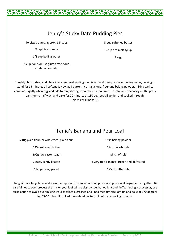## Jenny's Sticky Date Pudding Pies

40 pitted dates, approx. 1.5 cups

½ tsp bi-carb soda

1/3 cup boiling water

½ cup flour (or use gluten free flour, sorghum flour etc)

Roughly chop dates, and place in a large bowl, adding the bi-carb and then pour over boiling water, leaving to stand for 15 minutes till softened. Now add butter, rice malt syrup, flour and baking powder, mixing well to combine. Lightly whisk egg and add to mix, stirring to combine. Spoon mixture into ½ cup capacity muffin patty pans (up to half way) and bake for 20 minutes at 180 degrees till golden and cooked through. This mix will make 10.

## Tania's Banana and Pear Loaf

210g plain flour, or wholemeal plain flour

125g softened butter

200g raw caster sugar

2 eggs, lightly beaten

1 large pear, grated

Using either a large bowl and a wooden spoon, kitchen aid or food processor, process all ingredients together. Be careful not to over process the mix or your loaf will be slightly tough, not light and fluffy. If using a processor, use pulse action to avoid over mixing. Pour mix into a greased and lined medium size loaf tin and bake at 170 degrees for 55-60 mins till cooked through. Allow to cool before removing from tin.

1 tsp baking powder

1 tsp bi-carb soda

pinch of salt

3 very ripe bananas, frozen and defrosted

125ml buttermilk



¼ cup softened butter

¼ cup rice malt syrup

1 egg